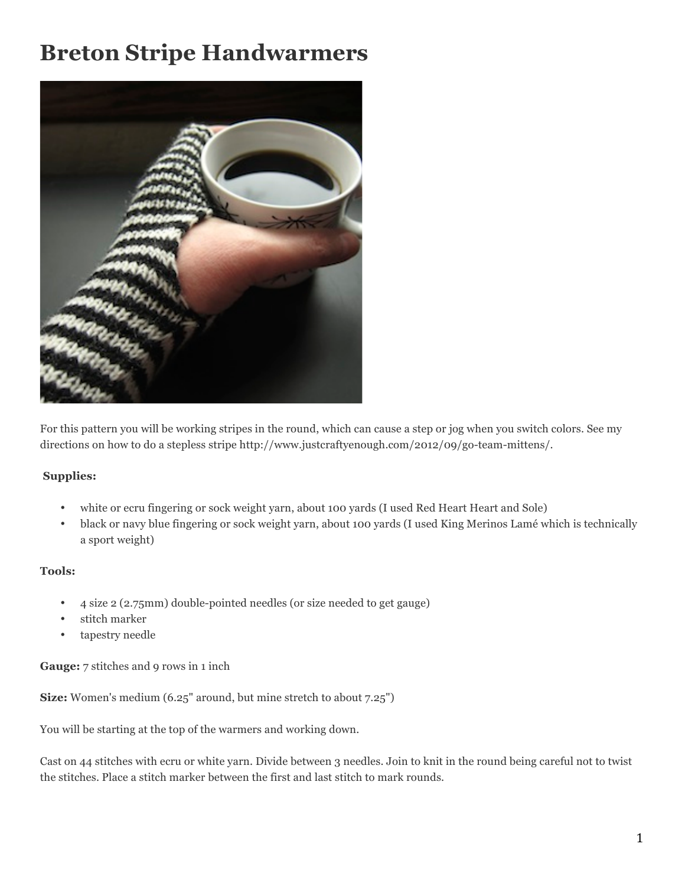## **Breton Stripe Handwarmers**



For this pattern you will be working stripes in the round, which can cause a step or jog when you switch colors. See my directions on how to do a stepless stripe http://www.justcraftyenough.com/2012/09/go-team-mittens/.

## **Supplies:**

- white or ecru fingering or sock weight yarn, about 100 yards (I used Red Heart Heart and Sole)
- black or navy blue fingering or sock weight yarn, about 100 yards (I used King Merinos Lamé which is technically a sport weight)

## **Tools:**

- 4 size 2 (2.75mm) double-pointed needles (or size needed to get gauge)
- stitch marker
- tapestry needle

**Gauge:** 7 stitches and 9 rows in 1 inch

**Size:** Women's medium (6.25" around, but mine stretch to about 7.25")

You will be starting at the top of the warmers and working down.

Cast on 44 stitches with ecru or white yarn. Divide between 3 needles. Join to knit in the round being careful not to twist the stitches. Place a stitch marker between the first and last stitch to mark rounds.